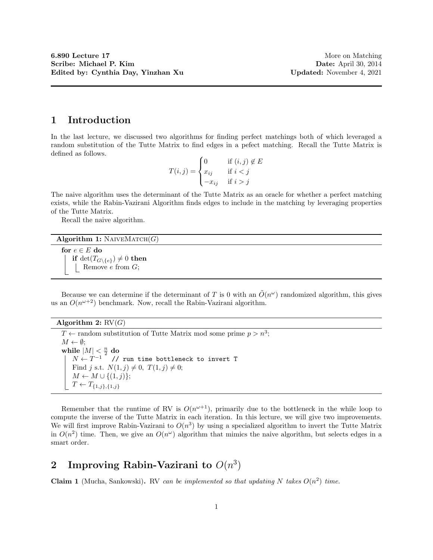### 1 Introduction

In the last lecture, we discussed two algorithms for finding perfect matchings both of which leveraged a random substitution of the Tutte Matrix to find edges in a pefect matching. Recall the Tutte Matrix is defined as follows.

$$
T(i,j) = \begin{cases} 0 & \text{if } (i,j) \notin E \\ x_{ij} & \text{if } i < j \\ -x_{ij} & \text{if } i > j \end{cases}
$$

The naive algorithm uses the determinant of the Tutte Matrix as an oracle for whether a perfect matching exists, while the Rabin-Vazirani Algorithm finds edges to include in the matching by leveraging properties of the Tutte Matrix.

Recall the naive algorithm.

### Algorithm 1:  $N$ AIVEMATCH $(G)$

for  $e \in E$  do if  $\det(T_{G\setminus\{e\}}) \neq 0$  then Remove  $e$  from  $G$ ;

Because we can determine if the determinant of T is 0 with an  $\tilde{O}(n^{\omega})$  randomized algorithm, this gives us an  $O(n^{\omega+2})$  benchmark. Now, recall the Rabin-Vazirani algorithm.

#### Algorithm 2:  $RV(G)$

 $T \leftarrow$  random substitution of Tutte Matrix mod some prime  $p > n^3$ ;  $M \leftarrow \emptyset;$ while  $|M| < \frac{n}{2}$  do  $N \leftarrow T^{-1}$  // run time bottleneck to invert T Find j s.t.  $N(1, j) \neq 0$ ,  $T(1, j) \neq 0$ ;  $M \leftarrow M \cup \{(1,j)\};$  $T \leftarrow T_{\{1,j\},\{1,j\}}$ 

Remember that the runtime of RV is  $O(n^{\omega+1})$ , primarily due to the bottleneck in the while loop to compute the inverse of the Tutte Matrix in each iteration. In this lecture, we will give two improvements. We will first improve Rabin-Vazirani to  $O(n^3)$  by using a specialized algorithm to invert the Tutte Matrix in  $O(n^2)$  time. Then, we give an  $O(n^{\omega})$  algorithm that mimics the naive algorithm, but selects edges in a smart order.

# 2 Improving Rabin-Vazirani to  $O(n^3)$

Claim 1 (Mucha, Sankowski). RV can be implemented so that updating N takes  $O(n^2)$  time.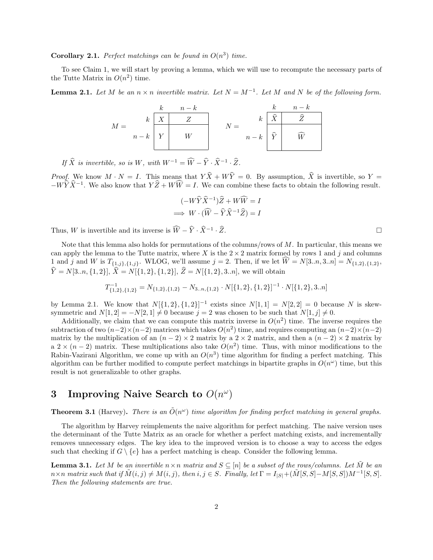**Corollary 2.1.** Perfect matchings can be found in  $O(n^3)$  time.

To see Claim 1, we will start by proving a lemma, which we will use to recompute the necessary parts of the Tutte Matrix in  $O(n^2)$  time.

**Lemma 2.1.** Let M be an  $n \times n$  invertible matrix. Let  $N = M^{-1}$ . Let M and N be of the following form.

$$
M = \begin{array}{c|c} & k & n-k \\ k & \overline{X} & \overline{Z} \\ n-k & Y & W \\ \hline \end{array} \qquad N = \begin{array}{c|c} & k & n-k \\ k & \widehat{X} & \widehat{Z} \\ \hline \hat{Y} & \widehat{W} \\ \hline \end{array}
$$

If  $\widehat{X}$  is invertible, so is W, with  $W^{-1} = \widehat{W} - \widehat{Y} \cdot \widehat{X}^{-1} \cdot \widehat{Z}$ .

*Proof.* We know  $M \cdot N = I$ . This means that  $Y\hat{X} + W\hat{Y} = 0$ . By assumption,  $\hat{X}$  is invertible, so Y =  $-W\hat{Y}\hat{X}^{-1}$ . We also know that  $Y\hat{Z} + W\hat{W} = I$ . We can combine these facts to obtain the following result.

$$
(-W\widehat{Y}\widehat{X}^{-1})\widehat{Z} + W\widehat{W} = I
$$
  

$$
\implies W \cdot (\widehat{W} - \widehat{Y}\widehat{X}^{-1}\widehat{Z}) = I
$$

Thus, W is invertible and its inverse is  $\widehat{W} - \widehat{Y} \cdot \widehat{X}^{-1} \cdot \widehat{Z}$ .  $\cdot \hat{Z}$ .

Note that this lemma also holds for permutations of the columns/rows of M. In particular, this means we can apply the lemma to the Tutte matrix, where X is the  $2 \times 2$  matrix formed by rows 1 and j and columns 1 and j and W is  $T_{\{1,j\},\{1,j\}}$ . WLOG, we'll assume  $j = 2$ . Then, if we let  $W = N[3..n, 3..n] = N_{\{1,2\},\{1,2\}},\}$  $Y = N[3..n, {1, 2}], X = N[{1, 2}, {1, 2}], Z = N[{1, 2}, 3..n],$  we will obtain

$$
T_{\{1,2\},\{1,2\}}^{-1} = N_{\{1,2\},\{1,2\}} - N_{3..n,\{1,2\}} \cdot N[\{1,2\},\{1,2\}]^{-1} \cdot N[\{1,2\},3..n]
$$

by Lemma 2.1. We know that  $N[{1, 2}, {1, 2}]^{-1}$  exists since  $N[1, 1] = N[2, 2] = 0$  because N is skewsymmetric and  $N[1, 2] = -N[2, 1] \neq 0$  because  $j = 2$  was chosen to be such that  $N[1, j] \neq 0$ .

Additionally, we claim that we can compute this matrix inverse in  $O(n^2)$  time. The inverse requires the subtraction of two  $(n-2) \times (n-2)$  matrices which takes  $O(n^2)$  time, and requires computing an  $(n-2) \times (n-2)$ matrix by the multiplication of an  $(n-2) \times 2$  matrix by a  $2 \times 2$  matrix, and then a  $(n-2) \times 2$  matrix by a 2 ×  $(n-2)$  matrix. These multiplications also take  $O(n^2)$  time. Thus, with minor modifications to the Rabin-Vazirani Algorithm, we come up with an  $O(n^3)$  time algorithm for finding a perfect matching. This algorithm can be further modified to compute perfect matchings in bipartite graphs in  $O(n^{\omega})$  time, but this result is not generalizable to other graphs.

# 3 Improving Naive Search to  $O(n^{\omega})$

**Theorem 3.1** (Harvey). There is an  $\tilde{O}(n^{\omega})$  time algorithm for finding perfect matching in general graphs.

The algorithm by Harvey reimplements the naive algorithm for perfect matching. The naive version uses the determinant of the Tutte Matrix as an oracle for whether a perfect matching exists, and incrementally removes unnecessary edges. The key idea to the improved version is to choose a way to access the edges such that checking if  $G \setminus \{e\}$  has a perfect matching is cheap. Consider the following lemma.

**Lemma 3.1.** Let M be an invertible  $n \times n$  matrix and  $S \subseteq [n]$  be a subset of the rows/columns. Let M be an  $n \times n$  matrix such that if  $\tilde{M}(i, j) \neq M(i, j)$ , then  $i, j \in S$ . Finally, let  $\Gamma = I_{|S|} + (\tilde{M}[S, S] - M[S, S])M^{-1}[S, S]$ . Then the following statements are true.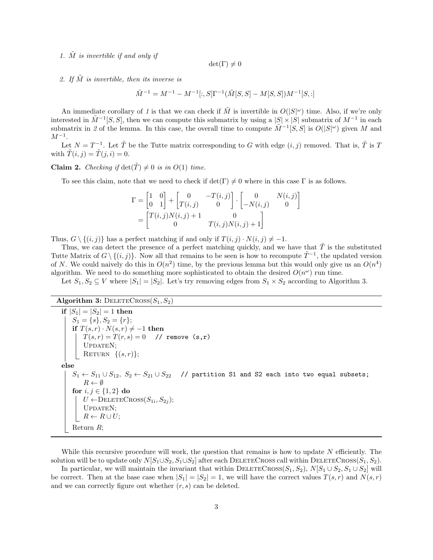1.  $\tilde{M}$  is invertible if and only if

 $det(\Gamma) \neq 0$ 

2. If  $\tilde{M}$  is invertible, then its inverse is

 $\tilde{M}^{-1} = M^{-1} - M^{-1}[:, S] \Gamma^{-1} (\tilde{M}[S, S] - M[S, S]) M^{-1}[S, :]$ 

An immediate corollary of 1 is that we can check if  $\tilde{M}$  is invertible in  $O(|S|^{\omega})$  time. Also, if we're only interested in  $\tilde{M}^{-1}[S, S]$ , then we can compute this submatrix by using a  $|S| \times |S|$  submatrix of  $M^{-1}$  in each submatrix in 2 of the lemma. In this case, the overall time to compute  $\tilde{M}^{-1}[S, S]$  is  $O(|S|^{\omega})$  given M and  $M^{-1}$ .

Let  $N = T^{-1}$ . Let  $\tilde{T}$  be the Tutte matrix corresponding to G with edge  $(i, j)$  removed. That is,  $\tilde{T}$  is T with  $\tilde{T}(i, j) = \tilde{T}(j, i) = 0$ .

**Claim 2.** Checking if  $det(\tilde{T}) \neq 0$  is in  $O(1)$  time.

To see this claim, note that we need to check if  $\det(\Gamma) \neq 0$  where in this case  $\Gamma$  is as follows.

$$
\Gamma = \begin{bmatrix} 1 & 0 \\ 0 & 1 \end{bmatrix} + \begin{bmatrix} 0 & -T(i,j) \\ T(i,j) & 0 \end{bmatrix} \cdot \begin{bmatrix} 0 & N(i,j) \\ -N(i,j) & 0 \end{bmatrix}
$$

$$
= \begin{bmatrix} T(i,j)N(i,j) + 1 & 0 \\ 0 & T(i,j)N(i,j) + 1 \end{bmatrix}
$$

Thus,  $G \setminus \{(i, j)\}\$ has a perfect matching if and only if  $T(i, j) \cdot N(i, j) \neq -1$ .

Thus, we can detect the presence of a perfect matching quickly, and we have that  $\tilde{T}$  is the substituted Tutte Matrix of  $G \setminus \{(i,j)\}\)$ . Now all that remains to be seen is how to recompute  $\tilde{T}^{-1}$ , the updated version of N. We could naively do this in  $O(n^2)$  time, by the previous lemma but this would only give us an  $O(n^4)$ algorithm. We need to do something more sophisticated to obtain the desired  $O(n^{\omega})$  run time.

Let  $S_1, S_2 \subseteq V$  where  $|S_1| = |S_2|$ . Let's try removing edges from  $S_1 \times S_2$  according to Algorithm 3.

#### Algorithm 3: DELETECROSS $(S_1, S_2)$

```
if |S_1| = |S_2| = 1 then
 S_1 = \{s\}, S_2 = \{r\};if T(s,r) \cdot N(s,r) \neq -1 then
      T(s,r) = T(r,s) = 0 // remove (s,r)UPDATEN;
      RETURN \{(s,r)\};else
S_1 \leftarrow S_{11} \cup S_{12}, S_2 \leftarrow S_{21} \cup S_{22} // partition S1 and S2 each into two equal subsets;
    R \leftarrow \emptysetfor i, j \in \{1, 2\} do
      U \leftarrow \text{DELETECross}(S_{1i}, S_{2j});UPDATEN;
      R \leftarrow R \cup U;Return R;
```
While this recursive procedure will work, the question that remains is how to update  $N$  efficiently. The solution will be to update only  $N[S_1\cup S_2, S_1\cup S_2]$  after each DELETECROSS call within DELETECROSS( $S_1, S_2$ ).

In particular, we will maintain the invariant that within DELETECROSS $(S_1, S_2)$ ,  $N[S_1 \cup S_2, S_1 \cup S_2]$  will be correct. Then at the base case when  $|S_1| = |S_2| = 1$ , we will have the correct values  $T(s, r)$  and  $N(s, r)$ and we can correctly figure out whether  $(r, s)$  can be deleted.